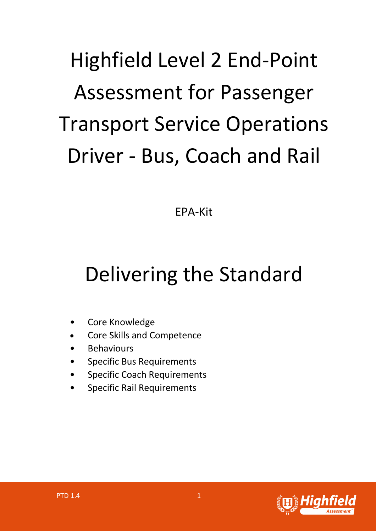## Highfield Level 2 End-Point Assessment for Passenger Transport Service Operations Driver - Bus, Coach and Rail

EPA-Kit

## Delivering the Standard

- Core Knowledge
- Core Skills and Competence
- **Behaviours**
- Specific Bus Requirements
- Specific Coach Requirements
- Specific Rail Requirements

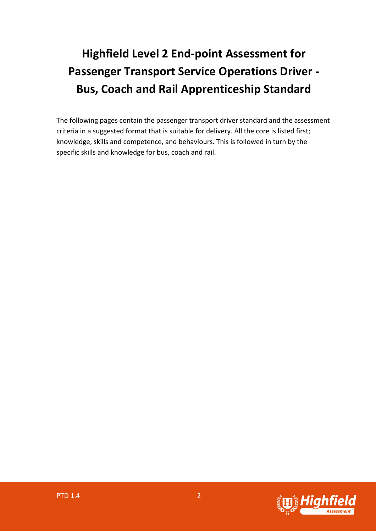## **Highfield Level 2 End-point Assessment for Passenger Transport Service Operations Driver - Bus, Coach and Rail Apprenticeship Standard**

The following pages contain the passenger transport driver standard and the assessment criteria in a suggested format that is suitable for delivery. All the core is listed first; knowledge, skills and competence, and behaviours. This is followed in turn by the specific skills and knowledge for bus, coach and rail.

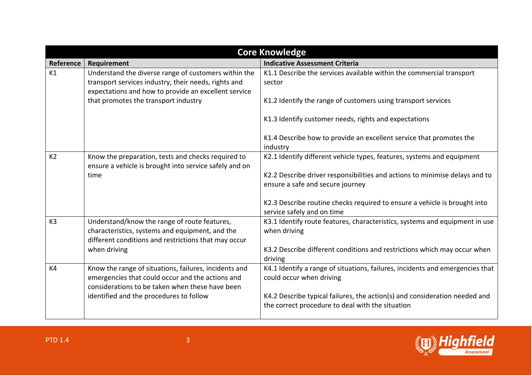| <b>Core Knowledge</b> |                                                                                                                                                                      |                                                                                                                                |
|-----------------------|----------------------------------------------------------------------------------------------------------------------------------------------------------------------|--------------------------------------------------------------------------------------------------------------------------------|
| Reference             | Requirement                                                                                                                                                          | <b>Indicative Assessment Criteria</b>                                                                                          |
| K1                    | Understand the diverse range of customers within the<br>transport services industry, their needs, rights and<br>expectations and how to provide an excellent service | K1.1 Describe the services available within the commercial transport<br>sector                                                 |
|                       | that promotes the transport industry                                                                                                                                 | K1.2 Identify the range of customers using transport services                                                                  |
|                       |                                                                                                                                                                      | K1.3 Identify customer needs, rights and expectations                                                                          |
|                       |                                                                                                                                                                      | K1.4 Describe how to provide an excellent service that promotes the<br>industry                                                |
| K <sub>2</sub>        | Know the preparation, tests and checks required to<br>ensure a vehicle is brought into service safely and on                                                         | K2.1 Identify different vehicle types, features, systems and equipment                                                         |
|                       | time                                                                                                                                                                 | K2.2 Describe driver responsibilities and actions to minimise delays and to<br>ensure a safe and secure journey                |
|                       |                                                                                                                                                                      | K2.3 Describe routine checks required to ensure a vehicle is brought into<br>service safely and on time                        |
| K <sub>3</sub>        | Understand/know the range of route features,<br>characteristics, systems and equipment, and the<br>different conditions and restrictions that may occur              | K3.1 Identify route features, characteristics, systems and equipment in use<br>when driving                                    |
|                       | when driving                                                                                                                                                         | K3.2 Describe different conditions and restrictions which may occur when<br>driving                                            |
| K4                    | Know the range of situations, failures, incidents and<br>emergencies that could occur and the actions and<br>considerations to be taken when these have been         | K4.1 Identify a range of situations, failures, incidents and emergencies that<br>could occur when driving                      |
|                       | identified and the procedures to follow                                                                                                                              | K4.2 Describe typical failures, the action(s) and consideration needed and<br>the correct procedure to deal with the situation |

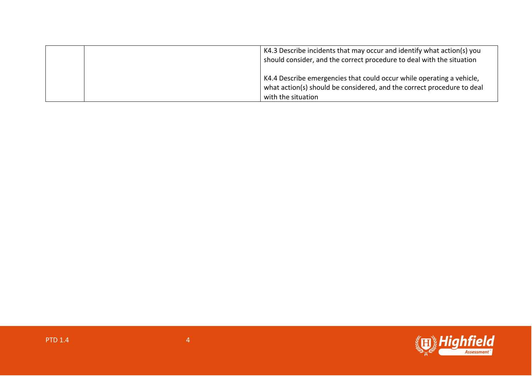|  | K4.3 Describe incidents that may occur and identify what action(s) you<br>should consider, and the correct procedure to deal with the situation                       |
|--|-----------------------------------------------------------------------------------------------------------------------------------------------------------------------|
|  | K4.4 Describe emergencies that could occur while operating a vehicle,<br>what action(s) should be considered, and the correct procedure to deal<br>with the situation |

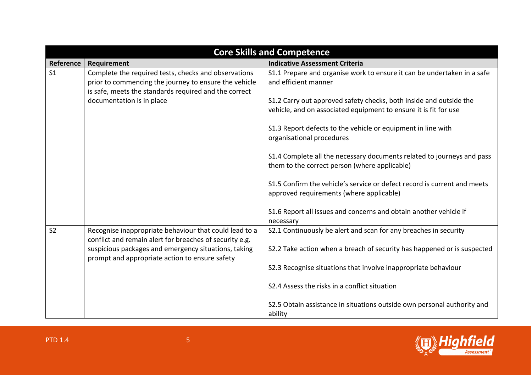| <b>Core Skills and Competence</b> |                                                                                                                                                                        |                                                                                                                                        |
|-----------------------------------|------------------------------------------------------------------------------------------------------------------------------------------------------------------------|----------------------------------------------------------------------------------------------------------------------------------------|
| Reference                         | Requirement                                                                                                                                                            | <b>Indicative Assessment Criteria</b>                                                                                                  |
| S <sub>1</sub>                    | Complete the required tests, checks and observations<br>prior to commencing the journey to ensure the vehicle<br>is safe, meets the standards required and the correct | S1.1 Prepare and organise work to ensure it can be undertaken in a safe<br>and efficient manner                                        |
|                                   | documentation is in place                                                                                                                                              | S1.2 Carry out approved safety checks, both inside and outside the<br>vehicle, and on associated equipment to ensure it is fit for use |
|                                   |                                                                                                                                                                        | S1.3 Report defects to the vehicle or equipment in line with<br>organisational procedures                                              |
|                                   |                                                                                                                                                                        | S1.4 Complete all the necessary documents related to journeys and pass<br>them to the correct person (where applicable)                |
|                                   |                                                                                                                                                                        | S1.5 Confirm the vehicle's service or defect record is current and meets<br>approved requirements (where applicable)                   |
|                                   |                                                                                                                                                                        | S1.6 Report all issues and concerns and obtain another vehicle if<br>necessary                                                         |
| S <sub>2</sub>                    | Recognise inappropriate behaviour that could lead to a<br>conflict and remain alert for breaches of security e.g.                                                      | S2.1 Continuously be alert and scan for any breaches in security                                                                       |
|                                   | suspicious packages and emergency situations, taking<br>prompt and appropriate action to ensure safety                                                                 | S2.2 Take action when a breach of security has happened or is suspected                                                                |
|                                   |                                                                                                                                                                        | S2.3 Recognise situations that involve inappropriate behaviour                                                                         |
|                                   |                                                                                                                                                                        | S2.4 Assess the risks in a conflict situation                                                                                          |
|                                   |                                                                                                                                                                        | S2.5 Obtain assistance in situations outside own personal authority and<br>ability                                                     |

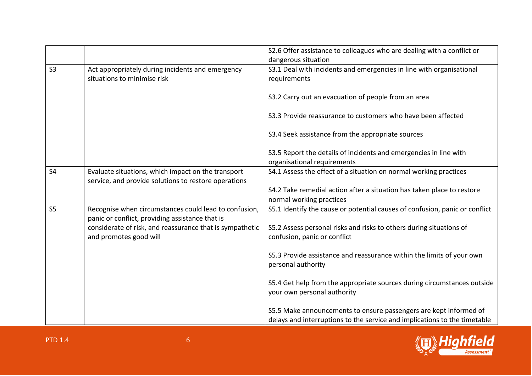|                |                                                                                                            | S2.6 Offer assistance to colleagues who are dealing with a conflict or<br>dangerous situation                                                  |
|----------------|------------------------------------------------------------------------------------------------------------|------------------------------------------------------------------------------------------------------------------------------------------------|
| S <sub>3</sub> | Act appropriately during incidents and emergency<br>situations to minimise risk                            | S3.1 Deal with incidents and emergencies in line with organisational<br>requirements                                                           |
|                |                                                                                                            | S3.2 Carry out an evacuation of people from an area                                                                                            |
|                |                                                                                                            | S3.3 Provide reassurance to customers who have been affected                                                                                   |
|                |                                                                                                            | S3.4 Seek assistance from the appropriate sources                                                                                              |
|                |                                                                                                            | S3.5 Report the details of incidents and emergencies in line with<br>organisational requirements                                               |
| S <sub>4</sub> | Evaluate situations, which impact on the transport<br>service, and provide solutions to restore operations | S4.1 Assess the effect of a situation on normal working practices                                                                              |
|                |                                                                                                            | S4.2 Take remedial action after a situation has taken place to restore<br>normal working practices                                             |
| S <sub>5</sub> | Recognise when circumstances could lead to confusion,<br>panic or conflict, providing assistance that is   | S5.1 Identify the cause or potential causes of confusion, panic or conflict                                                                    |
|                | considerate of risk, and reassurance that is sympathetic<br>and promotes good will                         | S5.2 Assess personal risks and risks to others during situations of<br>confusion, panic or conflict                                            |
|                |                                                                                                            | S5.3 Provide assistance and reassurance within the limits of your own<br>personal authority                                                    |
|                |                                                                                                            | S5.4 Get help from the appropriate sources during circumstances outside<br>your own personal authority                                         |
|                |                                                                                                            | S5.5 Make announcements to ensure passengers are kept informed of<br>delays and interruptions to the service and implications to the timetable |

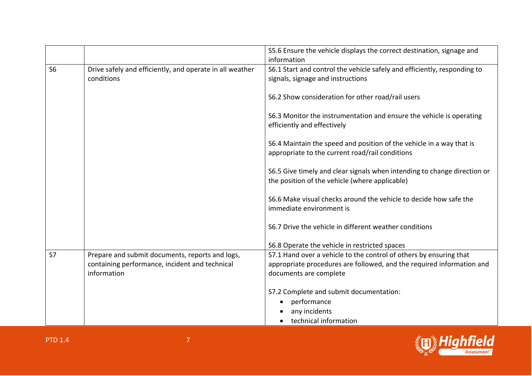|                |                                                                                                                  | S5.6 Ensure the vehicle displays the correct destination, signage and<br>information                                                                                  |
|----------------|------------------------------------------------------------------------------------------------------------------|-----------------------------------------------------------------------------------------------------------------------------------------------------------------------|
| S <sub>6</sub> | Drive safely and efficiently, and operate in all weather<br>conditions                                           | S6.1 Start and control the vehicle safely and efficiently, responding to<br>signals, signage and instructions                                                         |
|                |                                                                                                                  | S6.2 Show consideration for other road/rail users                                                                                                                     |
|                |                                                                                                                  | S6.3 Monitor the instrumentation and ensure the vehicle is operating<br>efficiently and effectively                                                                   |
|                |                                                                                                                  | S6.4 Maintain the speed and position of the vehicle in a way that is<br>appropriate to the current road/rail conditions                                               |
|                |                                                                                                                  | S6.5 Give timely and clear signals when intending to change direction or<br>the position of the vehicle (where applicable)                                            |
|                |                                                                                                                  | S6.6 Make visual checks around the vehicle to decide how safe the<br>immediate environment is                                                                         |
|                |                                                                                                                  | S6.7 Drive the vehicle in different weather conditions                                                                                                                |
|                |                                                                                                                  | S6.8 Operate the vehicle in restricted spaces                                                                                                                         |
| S <sub>7</sub> | Prepare and submit documents, reports and logs,<br>containing performance, incident and technical<br>information | S7.1 Hand over a vehicle to the control of others by ensuring that<br>appropriate procedures are followed, and the required information and<br>documents are complete |
|                |                                                                                                                  | S7.2 Complete and submit documentation:                                                                                                                               |
|                |                                                                                                                  | performance<br>any incidents                                                                                                                                          |
|                |                                                                                                                  | technical information                                                                                                                                                 |

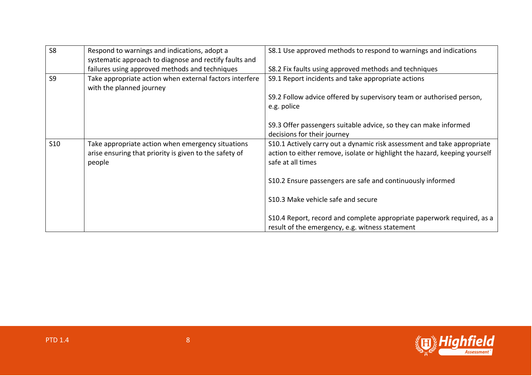| S <sub>8</sub> | Respond to warnings and indications, adopt a<br>systematic approach to diagnose and rectify faults and                | S8.1 Use approved methods to respond to warnings and indications                                                                                                           |
|----------------|-----------------------------------------------------------------------------------------------------------------------|----------------------------------------------------------------------------------------------------------------------------------------------------------------------------|
|                | failures using approved methods and techniques                                                                        | S8.2 Fix faults using approved methods and techniques                                                                                                                      |
| S <sub>9</sub> | Take appropriate action when external factors interfere<br>with the planned journey                                   | S9.1 Report incidents and take appropriate actions                                                                                                                         |
|                |                                                                                                                       | S9.2 Follow advice offered by supervisory team or authorised person,<br>e.g. police                                                                                        |
|                |                                                                                                                       | S9.3 Offer passengers suitable advice, so they can make informed<br>decisions for their journey                                                                            |
| <b>S10</b>     | Take appropriate action when emergency situations<br>arise ensuring that priority is given to the safety of<br>people | S10.1 Actively carry out a dynamic risk assessment and take appropriate<br>action to either remove, isolate or highlight the hazard, keeping yourself<br>safe at all times |
|                |                                                                                                                       | S10.2 Ensure passengers are safe and continuously informed                                                                                                                 |
|                |                                                                                                                       | S10.3 Make vehicle safe and secure                                                                                                                                         |
|                |                                                                                                                       | S10.4 Report, record and complete appropriate paperwork required, as a<br>result of the emergency, e.g. witness statement                                                  |

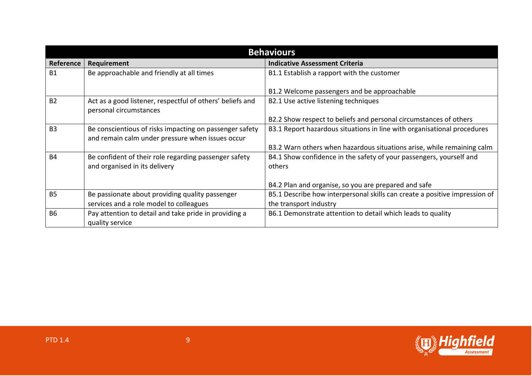| <b>Behaviours</b> |                                                                                                             |                                                                                                      |
|-------------------|-------------------------------------------------------------------------------------------------------------|------------------------------------------------------------------------------------------------------|
| Reference         | Requirement                                                                                                 | <b>Indicative Assessment Criteria</b>                                                                |
| <b>B1</b>         | Be approachable and friendly at all times                                                                   | B1.1 Establish a rapport with the customer                                                           |
|                   |                                                                                                             | B1.2 Welcome passengers and be approachable                                                          |
| <b>B2</b>         | Act as a good listener, respectful of others' beliefs and<br>personal circumstances                         | B2.1 Use active listening techniques                                                                 |
|                   |                                                                                                             | B2.2 Show respect to beliefs and personal circumstances of others                                    |
| B <sub>3</sub>    | Be conscientious of risks impacting on passenger safety<br>and remain calm under pressure when issues occur | B3.1 Report hazardous situations in line with organisational procedures                              |
|                   |                                                                                                             | B3.2 Warn others when hazardous situations arise, while remaining calm                               |
| <b>B4</b>         | Be confident of their role regarding passenger safety<br>and organised in its delivery                      | B4.1 Show confidence in the safety of your passengers, yourself and<br>others                        |
|                   |                                                                                                             | B4.2 Plan and organise, so you are prepared and safe                                                 |
| <b>B5</b>         | Be passionate about providing quality passenger<br>services and a role model to colleagues                  | B5.1 Describe how interpersonal skills can create a positive impression of<br>the transport industry |
| <b>B6</b>         | Pay attention to detail and take pride in providing a<br>quality service                                    | B6.1 Demonstrate attention to detail which leads to quality                                          |

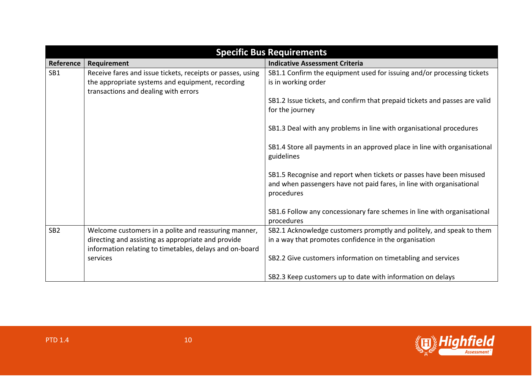| <b>Specific Bus Requirements</b> |                                                                                                                                                                       |                                                                                                                                                           |
|----------------------------------|-----------------------------------------------------------------------------------------------------------------------------------------------------------------------|-----------------------------------------------------------------------------------------------------------------------------------------------------------|
| Reference                        | Requirement                                                                                                                                                           | <b>Indicative Assessment Criteria</b>                                                                                                                     |
| SB1                              | Receive fares and issue tickets, receipts or passes, using<br>the appropriate systems and equipment, recording<br>transactions and dealing with errors                | SB1.1 Confirm the equipment used for issuing and/or processing tickets<br>is in working order                                                             |
|                                  |                                                                                                                                                                       | SB1.2 Issue tickets, and confirm that prepaid tickets and passes are valid<br>for the journey                                                             |
|                                  |                                                                                                                                                                       | SB1.3 Deal with any problems in line with organisational procedures                                                                                       |
|                                  |                                                                                                                                                                       | SB1.4 Store all payments in an approved place in line with organisational<br>guidelines                                                                   |
|                                  |                                                                                                                                                                       | SB1.5 Recognise and report when tickets or passes have been misused<br>and when passengers have not paid fares, in line with organisational<br>procedures |
|                                  |                                                                                                                                                                       | SB1.6 Follow any concessionary fare schemes in line with organisational<br>procedures                                                                     |
| SB <sub>2</sub>                  | Welcome customers in a polite and reassuring manner,<br>directing and assisting as appropriate and provide<br>information relating to timetables, delays and on-board | SB2.1 Acknowledge customers promptly and politely, and speak to them<br>in a way that promotes confidence in the organisation                             |
|                                  | services                                                                                                                                                              | SB2.2 Give customers information on timetabling and services                                                                                              |
|                                  |                                                                                                                                                                       | SB2.3 Keep customers up to date with information on delays                                                                                                |

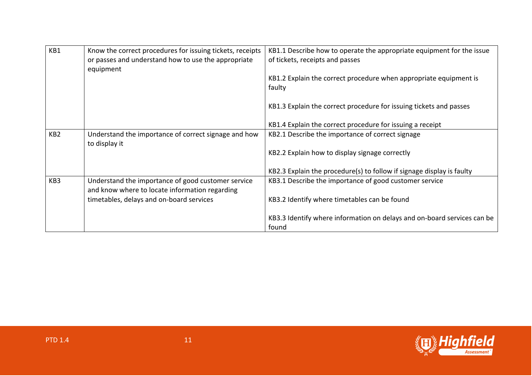| KB1             | Know the correct procedures for issuing tickets, receipts<br>or passes and understand how to use the appropriate<br>equipment | KB1.1 Describe how to operate the appropriate equipment for the issue<br>of tickets, receipts and passes |
|-----------------|-------------------------------------------------------------------------------------------------------------------------------|----------------------------------------------------------------------------------------------------------|
|                 |                                                                                                                               | KB1.2 Explain the correct procedure when appropriate equipment is<br>faulty                              |
|                 |                                                                                                                               | KB1.3 Explain the correct procedure for issuing tickets and passes                                       |
|                 |                                                                                                                               | KB1.4 Explain the correct procedure for issuing a receipt                                                |
| KB <sub>2</sub> | Understand the importance of correct signage and how<br>to display it                                                         | KB2.1 Describe the importance of correct signage                                                         |
|                 |                                                                                                                               | KB2.2 Explain how to display signage correctly                                                           |
|                 |                                                                                                                               | KB2.3 Explain the procedure(s) to follow if signage display is faulty                                    |
| KB3             | Understand the importance of good customer service<br>and know where to locate information regarding                          | KB3.1 Describe the importance of good customer service                                                   |
|                 | timetables, delays and on-board services                                                                                      | KB3.2 Identify where timetables can be found                                                             |
|                 |                                                                                                                               | KB3.3 Identify where information on delays and on-board services can be<br>found                         |

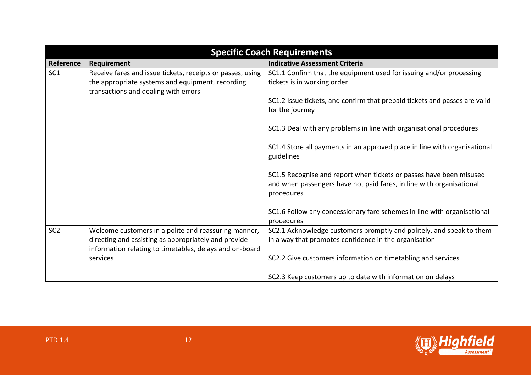| <b>Specific Coach Requirements</b> |                                                                                                                                                                         |                                                                                                                                                           |
|------------------------------------|-------------------------------------------------------------------------------------------------------------------------------------------------------------------------|-----------------------------------------------------------------------------------------------------------------------------------------------------------|
| Reference                          | Requirement                                                                                                                                                             | <b>Indicative Assessment Criteria</b>                                                                                                                     |
| SC <sub>1</sub>                    | Receive fares and issue tickets, receipts or passes, using<br>the appropriate systems and equipment, recording<br>transactions and dealing with errors                  | SC1.1 Confirm that the equipment used for issuing and/or processing<br>tickets is in working order                                                        |
|                                    |                                                                                                                                                                         | SC1.2 Issue tickets, and confirm that prepaid tickets and passes are valid<br>for the journey                                                             |
|                                    |                                                                                                                                                                         | SC1.3 Deal with any problems in line with organisational procedures                                                                                       |
|                                    |                                                                                                                                                                         | SC1.4 Store all payments in an approved place in line with organisational<br>guidelines                                                                   |
|                                    |                                                                                                                                                                         | SC1.5 Recognise and report when tickets or passes have been misused<br>and when passengers have not paid fares, in line with organisational<br>procedures |
|                                    |                                                                                                                                                                         | SC1.6 Follow any concessionary fare schemes in line with organisational<br>procedures                                                                     |
| SC <sub>2</sub>                    | Welcome customers in a polite and reassuring manner,<br>directing and assisting as appropriately and provide<br>information relating to timetables, delays and on-board | SC2.1 Acknowledge customers promptly and politely, and speak to them<br>in a way that promotes confidence in the organisation                             |
|                                    | services                                                                                                                                                                | SC2.2 Give customers information on timetabling and services                                                                                              |
|                                    |                                                                                                                                                                         | SC2.3 Keep customers up to date with information on delays                                                                                                |

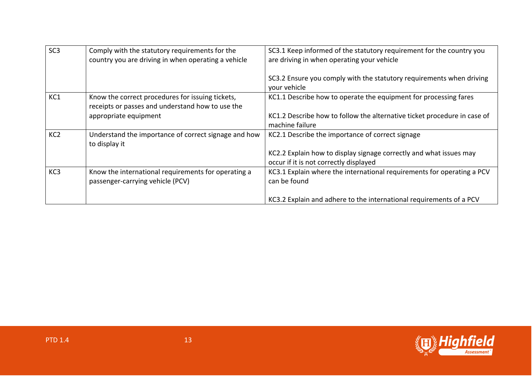| SC <sub>3</sub> | Comply with the statutory requirements for the<br>country you are driving in when operating a vehicle | SC3.1 Keep informed of the statutory requirement for the country you<br>are driving in when operating your vehicle |
|-----------------|-------------------------------------------------------------------------------------------------------|--------------------------------------------------------------------------------------------------------------------|
|                 |                                                                                                       | SC3.2 Ensure you comply with the statutory requirements when driving<br>your vehicle                               |
| KC1             | Know the correct procedures for issuing tickets,<br>receipts or passes and understand how to use the  | KC1.1 Describe how to operate the equipment for processing fares                                                   |
|                 | appropriate equipment                                                                                 | KC1.2 Describe how to follow the alternative ticket procedure in case of<br>machine failure                        |
| KC <sub>2</sub> | Understand the importance of correct signage and how<br>to display it                                 | KC2.1 Describe the importance of correct signage                                                                   |
|                 |                                                                                                       | KC2.2 Explain how to display signage correctly and what issues may<br>occur if it is not correctly displayed       |
| KC <sub>3</sub> | Know the international requirements for operating a<br>passenger-carrying vehicle (PCV)               | KC3.1 Explain where the international requirements for operating a PCV<br>can be found                             |
|                 |                                                                                                       | KC3.2 Explain and adhere to the international requirements of a PCV                                                |

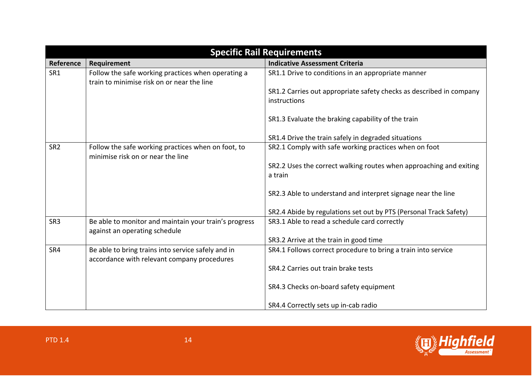| <b>Specific Rail Requirements</b> |                                                                                                   |                                                                                     |
|-----------------------------------|---------------------------------------------------------------------------------------------------|-------------------------------------------------------------------------------------|
| Reference                         | <b>Requirement</b>                                                                                | <b>Indicative Assessment Criteria</b>                                               |
| SR1                               | Follow the safe working practices when operating a<br>train to minimise risk on or near the line  | SR1.1 Drive to conditions in an appropriate manner                                  |
|                                   |                                                                                                   | SR1.2 Carries out appropriate safety checks as described in company<br>instructions |
|                                   |                                                                                                   | SR1.3 Evaluate the braking capability of the train                                  |
|                                   |                                                                                                   | SR1.4 Drive the train safely in degraded situations                                 |
| SR <sub>2</sub>                   | Follow the safe working practices when on foot, to<br>minimise risk on or near the line           | SR2.1 Comply with safe working practices when on foot                               |
|                                   |                                                                                                   | SR2.2 Uses the correct walking routes when approaching and exiting<br>a train       |
|                                   |                                                                                                   | SR2.3 Able to understand and interpret signage near the line                        |
|                                   |                                                                                                   | SR2.4 Abide by regulations set out by PTS (Personal Track Safety)                   |
| SR <sub>3</sub>                   | Be able to monitor and maintain your train's progress<br>against an operating schedule            | SR3.1 Able to read a schedule card correctly                                        |
|                                   |                                                                                                   | SR3.2 Arrive at the train in good time                                              |
| SR4                               | Be able to bring trains into service safely and in<br>accordance with relevant company procedures | SR4.1 Follows correct procedure to bring a train into service                       |
|                                   |                                                                                                   | SR4.2 Carries out train brake tests                                                 |
|                                   |                                                                                                   | SR4.3 Checks on-board safety equipment                                              |
|                                   |                                                                                                   | SR4.4 Correctly sets up in-cab radio                                                |

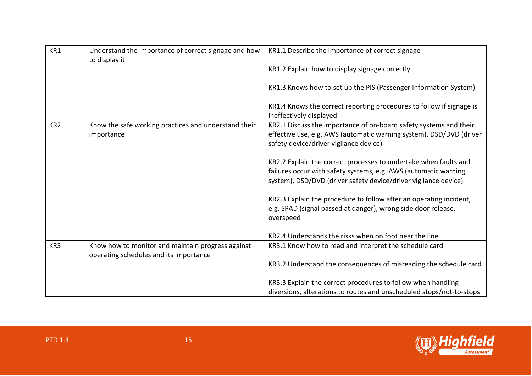| KR1             | Understand the importance of correct signage and how<br>to display it                       | KR1.1 Describe the importance of correct signage                                                                                                                                                       |
|-----------------|---------------------------------------------------------------------------------------------|--------------------------------------------------------------------------------------------------------------------------------------------------------------------------------------------------------|
|                 |                                                                                             | KR1.2 Explain how to display signage correctly                                                                                                                                                         |
|                 |                                                                                             | KR1.3 Knows how to set up the PIS (Passenger Information System)                                                                                                                                       |
|                 |                                                                                             | KR1.4 Knows the correct reporting procedures to follow if signage is<br>ineffectively displayed                                                                                                        |
| KR <sub>2</sub> | Know the safe working practices and understand their<br>importance                          | KR2.1 Discuss the importance of on-board safety systems and their<br>effective use, e.g. AWS (automatic warning system), DSD/DVD (driver<br>safety device/driver vigilance device)                     |
|                 |                                                                                             | KR2.2 Explain the correct processes to undertake when faults and<br>failures occur with safety systems, e.g. AWS (automatic warning<br>system), DSD/DVD (driver safety device/driver vigilance device) |
|                 |                                                                                             | KR2.3 Explain the procedure to follow after an operating incident,<br>e.g. SPAD (signal passed at danger), wrong side door release,<br>overspeed                                                       |
|                 |                                                                                             | KR2.4 Understands the risks when on foot near the line                                                                                                                                                 |
| KR3             | Know how to monitor and maintain progress against<br>operating schedules and its importance | KR3.1 Know how to read and interpret the schedule card                                                                                                                                                 |
|                 |                                                                                             | KR3.2 Understand the consequences of misreading the schedule card                                                                                                                                      |
|                 |                                                                                             | KR3.3 Explain the correct procedures to follow when handling                                                                                                                                           |
|                 |                                                                                             | diversions, alterations to routes and unscheduled stops/not-to-stops                                                                                                                                   |